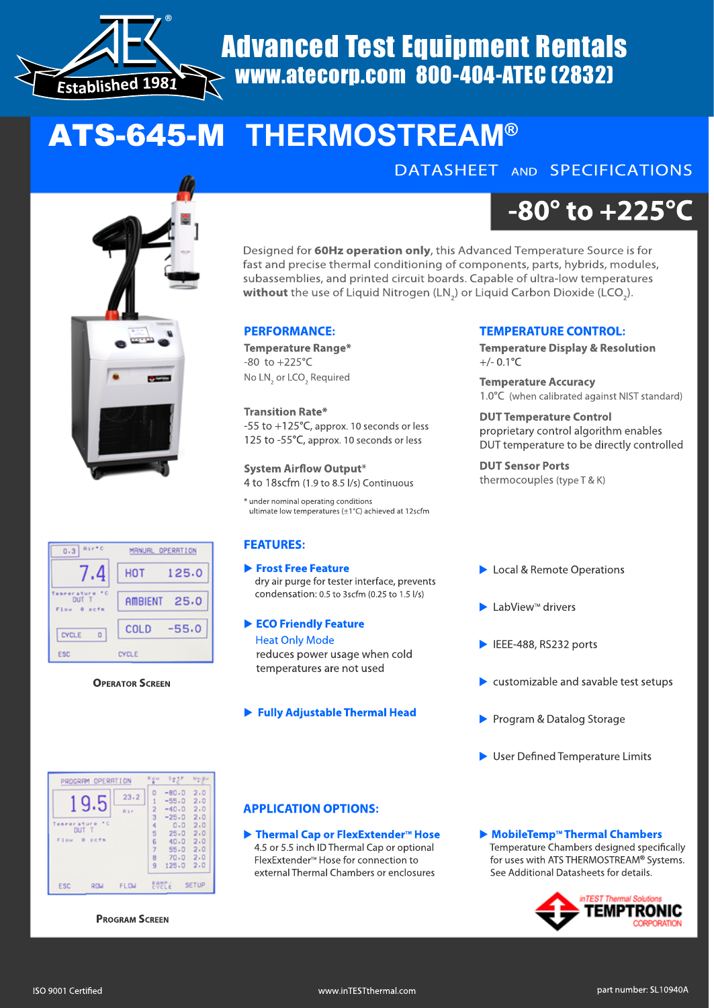

# Advanced Test Equipment Rentals www.atecorp.com 800-404-ATEC (2832)

# ATS-645-M **THERMOSTREAM®**

## DATASHEET AND SPECIFICATIONS



#### $\overline{0.3}$  Rinto MANUAL OPERATION 7.4 **HOT** 125.0 Tearerature <sup>10</sup><br>DUT T AMBIENT  $25.0$ Flou  $x < f x$  $-55.0$ COLD CYCLE  $\circ$ CYCLE ESC

#### **OPERATOR SCREEN**

**-80° to +225°C**

Designed for **60Hz operation only**, this Advanced Temperature Source is for fast and precise thermal conditioning of components, parts, hybrids, modules, subassemblies, and printed circuit boards. Capable of ultra-low temperatures  ${\sf without}$  the use of Liquid Nitrogen (LN $_2$ ) or Liquid Carbon Dioxide (LCO $_2$ ).

#### **PERFORMANCE:**

**Temperature Range\*** -80 to +225°C No  $LN<sub>2</sub>$  or LCO<sub>2</sub> Required

#### **Transition Rate\*** -55 to +125°C, approx. 10 seconds or less 125 to -55°C, approx. 10 seconds or less

**System Airflow Output\*** 4 to 18scfm (1.9 to 8.5 l/s) Continuous

\* under nominal operating conditions ultimate low temperatures (±1°C) achieved at 12scfm

#### **FEATURES:**

 **Frost Free Feature** dry air purge for tester interface, prevents condensation: 0.5 to 3scfm (0.25 to 1.5 l/s)

- **ECO Friendly Feature Heat Only Mode**  reduces power usage when cold temperatures are not used
- **Fully Adjustable Thermal Head**

### **TEMPERATURE CONTROL:**

**Temperature Display & Resolution**  $+/- 0.1$ °C

**Temperature Accuracy** 1.0°C (when calibrated against NIST standard)

#### **DUT Temperature Control** proprietary control algorithm enables DUT temperature to be directly controlled

**DUT Sensor Ports** thermocouples (type T & K)

- Local & Remote Operations
- $\blacktriangleright$  LabView<sup>™</sup> drivers
- ▶ IEEE-488, RS232 ports
- $\triangleright$  customizable and savable test setups
- **Program & Datalog Storage**
- $\blacktriangleright$  User Defined Temperature Limits

| PROGRAM OPERATION                    |            |             | Row                 | SesP               | Mediu        |
|--------------------------------------|------------|-------------|---------------------|--------------------|--------------|
| g                                    | 1.5        | 23.2        | 0<br>1              | $-80.0$<br>$-55.0$ | 2.0<br>2.0   |
|                                      |            | <b>Rir</b>  | 2<br>3              | $-40.0$<br>$-25.0$ | 2.0<br>2.0   |
| meerature *C<br>DUT T<br>Flow 0 scfs |            |             | 4<br>5              | 0.0<br>25.0        | 2.0<br>2.0   |
|                                      |            |             | 6<br>$\overline{7}$ | 40.0<br>55.0       | 2.0<br>2.0   |
|                                      |            |             | 8                   | 70.0               | 2.0          |
|                                      |            |             | 9                   | 125.0              | 2.0          |
| <b>ESC</b>                           | <b>RDW</b> | <b>FLOW</b> |                     | <b>BOBEE</b>       | <b>SETUP</b> |

**PROGRAM SCREEN**

#### **APPLICATION OPTIONS:**

▶ Thermal Cap or FlexExtender<sup>™</sup> Hose 4.5 or 5.5 inch ID Thermal Cap or optional FlexExtender<sup>™</sup> Hose for connection to external Thermal Chambers or enclosures

▶ MobileTemp<sup>™</sup> Thermal Chambers Temperature Chambers designed specifically for uses with ATS THERMOSTREAM**®** Systems. See Additional Datasheets for details.